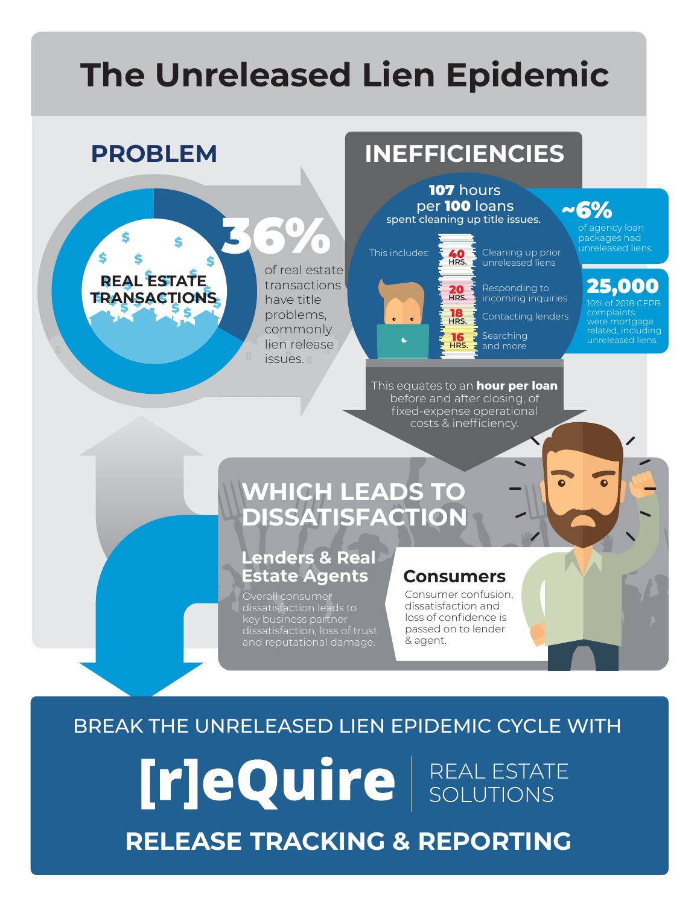# **The Unreleased Lien Epidemic**

**ERAN**  ${\sf R}$ 

\$

\$

\$

\$

\$ \$ \$ \$ \$ \$ \$ \$ **TRANSACTIONS**

**REAL ESTATE** 

\$

\$ \$

\$



of real estate transactions have title problems, commonly lien release issues.

## **PROBLEM INEFFICIENCIES**

107 hours per 100 loans spent cleaning up title issues.

This equates to an **hour per loan** before and after closing, of fixed-expense operational costs & inefficiency.



**HRS.** 20 **HRS.** 18 **HRS.** 16 **HRS.**

Cleaning up prior unreleased liens Responding to incoming inquiries

Contacting lenders

**Searching** and more

~6% of agency loan packages had unreleased liens.

## 25,000

 $6$  of 2018 CF complaints were mortga related, including

## **WHICH LEADS TO DISSATISFACTION**

#### **Lenders & Real Estate Agents Consumers**

Overall consumer dissatisfaction leads to key business partner ney is demised paintife.<br>dissatisfaction, loss of trust and reputational damage.

Consumer confusion, dissatisfaction and loss of confidence is passed on to lender & agent.

### BREAK THE UNRELEASED LIEN EPIDEMIC CYCLE WITH

[r]eQuire | REAL ESTATE **RELEASE TRACKING & REPORTING**